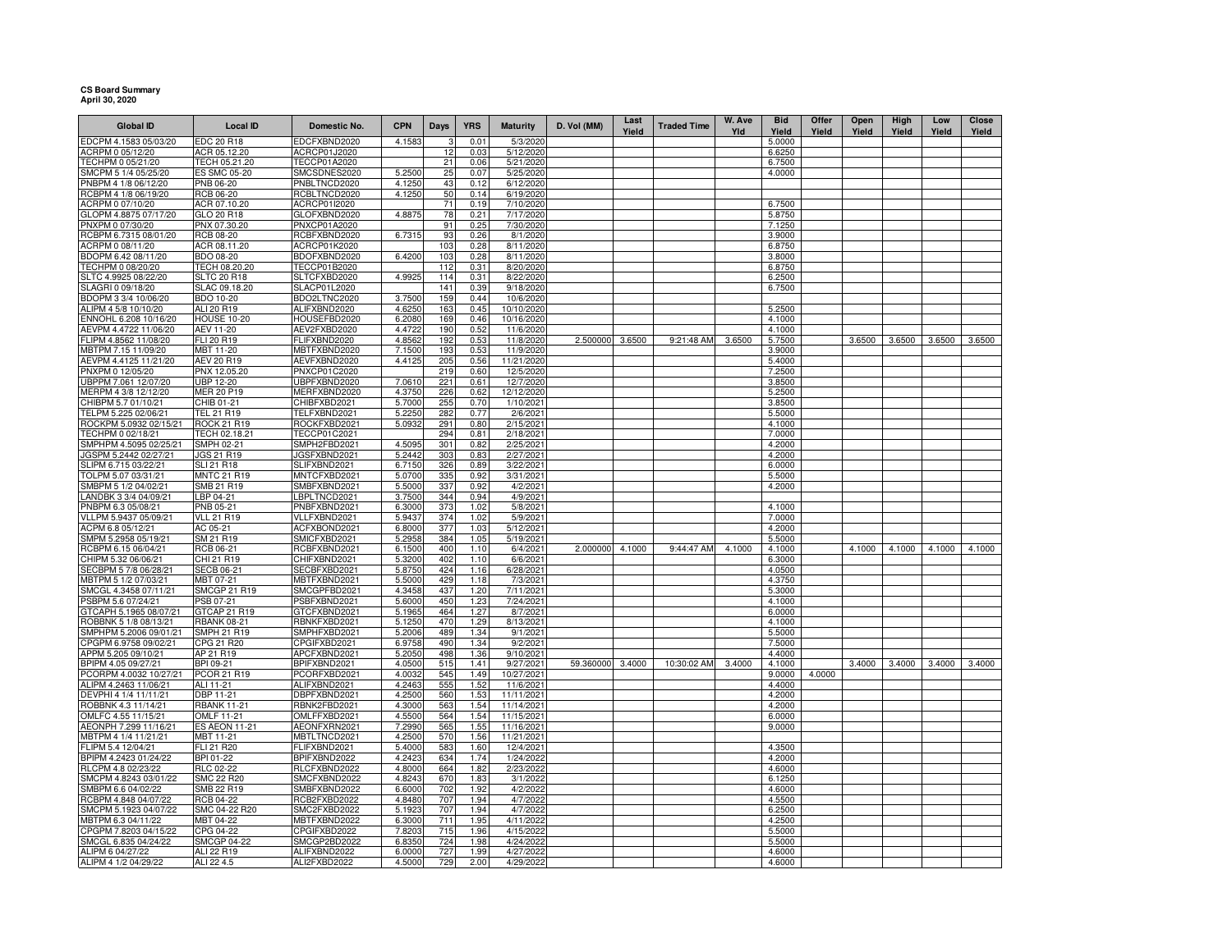## **CS Board Summary April 30, 2020**

| <b>Global ID</b>                               | <b>Local ID</b>                        | Domestic No.                 | <b>CPN</b>       | <b>Days</b>     | <b>YRS</b>   | <b>Maturity</b>         | D. Vol (MM)      | Last<br>Yield | <b>Traded Time</b> | W. Ave<br>Yld | <b>Bid</b><br>Yield | Offer<br>Yield | Open<br>Yield | High<br>Yield | Low<br>Yield | Close<br>Yield |
|------------------------------------------------|----------------------------------------|------------------------------|------------------|-----------------|--------------|-------------------------|------------------|---------------|--------------------|---------------|---------------------|----------------|---------------|---------------|--------------|----------------|
| EDCPM 4.1583 05/03/20                          | EDC 20 R18                             | EDCFXBND2020                 | 4.1583           | 3               | 0.01         | 5/3/2020                |                  |               |                    |               | 5.0000              |                |               |               |              |                |
| ACRPM 0 05/12/20                               | ACR 05.12.20                           | ACRCP01J2020                 |                  | 12              | 0.03         | 5/12/2020               |                  |               |                    |               | 6.6250              |                |               |               |              |                |
| TECHPM 0 05/21/20                              | TECH 05.21.20                          | <b>TECCP01A2020</b>          |                  | 21              | 0.06         | 5/21/2020               |                  |               |                    |               | 6.7500              |                |               |               |              |                |
| SMCPM 5 1/4 05/25/20                           | ES SMC 05-20                           | SMCSDNES2020                 | 5.2500           | 25              | 0.07         | 5/25/2020               |                  |               |                    |               | 4.0000              |                |               |               |              |                |
| PNBPM 4 1/8 06/12/20                           | PNB 06-20                              | PNBLTNCD2020                 | 4.1250           | 43              | 0.12         | 6/12/2020               |                  |               |                    |               |                     |                |               |               |              |                |
| RCBPM 4 1/8 06/19/20                           | RCB 06-20                              | RCBLTNCD2020                 | 4.1250           | 50              | 0.14         | 6/19/2020               |                  |               |                    |               |                     |                |               |               |              |                |
| ACRPM 0 07/10/20                               | ACR 07.10.20                           | ACRCP01I2020                 |                  | 71              | 0.19         | 7/10/2020               |                  |               |                    |               | 6.7500              |                |               |               |              |                |
| GLOPM 4.8875 07/17/20                          | GLO 20 R18                             | GLOFXBND2020                 | 4.8875           | 78              | 0.21         | 7/17/2020               |                  |               |                    |               | 5.8750              |                |               |               |              |                |
| PNXPM 0 07/30/20<br>RCBPM 6.7315 08/01/20      | PNX 07.30.20<br><b>RCB 08-20</b>       | PNXCP01A2020<br>RCBFXBND2020 | 6.7315           | 91<br>93        | 0.25<br>0.26 | 7/30/2020<br>8/1/2020   |                  |               |                    |               | 7.1250<br>3.9000    |                |               |               |              |                |
| ACRPM 0 08/11/20                               | ACR 08.11.20                           | ACRCP01K2020                 |                  | 103             | 0.28         | 8/11/2020               |                  |               |                    |               | 6.8750              |                |               |               |              |                |
| BDOPM 6.42 08/11/20                            | BDO 08-20                              | BDOFXBND2020                 | 6.4200           | 103             | 0.28         | 8/11/2020               |                  |               |                    |               | 3.8000              |                |               |               |              |                |
| TECHPM 0 08/20/20                              | TECH 08.20.20                          | TECCP01B2020                 |                  | 112             | 0.31         | 8/20/2020               |                  |               |                    |               | 6.8750              |                |               |               |              |                |
| SLTC 4.9925 08/22/20                           | <b>SLTC 20 R18</b>                     | SLTCFXBD2020                 | 4.9925           | 114             | 0.31         | 8/22/2020               |                  |               |                    |               | 6.2500              |                |               |               |              |                |
| SLAGRI 0 09/18/20                              | SLAC 09.18.20                          | <b>SLACP01L2020</b>          |                  | 141             | 0.39         | 9/18/2020               |                  |               |                    |               | 6.7500              |                |               |               |              |                |
| BDOPM 3 3/4 10/06/20                           | BDO 10-20                              | BDO2LTNC2020                 | 3.7500           | 159             | 0.44         | 10/6/2020               |                  |               |                    |               |                     |                |               |               |              |                |
| ALIPM 4 5/8 10/10/20                           | ALI 20 R19                             | ALIFXBND2020                 | 4.6250           | 163             | 0.45         | 10/10/2020              |                  |               |                    |               | 5.2500              |                |               |               |              |                |
| ENNOHL 6.208 10/16/20                          | <b>HOUSE 10-20</b>                     | HOUSEFBD2020                 | 6.2080           | 169             | 0.46         | 10/16/2020              |                  |               |                    |               | 4.1000              |                |               |               |              |                |
| AEVPM 4.4722 11/06/20<br>FLIPM 4.8562 11/08/20 | AEV 11-20<br>FLI 20 R19                | AEV2FXBD2020<br>FLIFXBND2020 | 4.4722<br>4.8562 | 190<br>192      | 0.52<br>0.53 | 11/6/2020<br>11/8/2020  | 2.500000 3.6500  |               | 9:21:48 AM         | 3.6500        | 4.1000              |                | 3.6500        | 3.6500        | 3.6500       | 3.6500         |
| MBTPM 7.15 11/09/20                            | <b>MBT 11-20</b>                       | MBTFXBND2020                 | 7.1500           | 193             | 0.53         | 11/9/2020               |                  |               |                    |               | 5.7500<br>3.9000    |                |               |               |              |                |
| AEVPM 4.4125 11/21/20                          | AEV 20 R19                             | AEVFXBND2020                 | 4.4125           | 205             | 0.56         | 11/21/2020              |                  |               |                    |               | 5.4000              |                |               |               |              |                |
| PNXPM 0 12/05/20                               | PNX 12.05.20                           | PNXCP01C2020                 |                  | 219             | 0.60         | 12/5/2020               |                  |               |                    |               | 7.2500              |                |               |               |              |                |
| UBPPM 7.061 12/07/20                           | <b>UBP 12-20</b>                       | UBPFXBND2020                 | 7.0610           | 221             | 0.61         | 12/7/2020               |                  |               |                    |               | 3.8500              |                |               |               |              |                |
| MERPM 4 3/8 12/12/20                           | <b>MER 20 P19</b>                      | MERFXBND2020                 | 4.3750           | 226             | 0.62         | 12/12/2020              |                  |               |                    |               | 5.2500              |                |               |               |              |                |
| CHIBPM 5.7 01/10/21                            | CHIB 01-21                             | CHIBFXBD2021                 | 5.7000           | 255             | 0.70         | 1/10/2021               |                  |               |                    |               | 3.8500              |                |               |               |              |                |
| TELPM 5.225 02/06/21                           | TEL 21 R19                             | TELFXBND2021                 | 5.2250           | 282             | 0.77         | 2/6/2021                |                  |               |                    |               | 5.5000              |                |               |               |              |                |
| ROCKPM 5.0932 02/15/21                         | <b>ROCK 21 R19</b>                     | ROCKFXBD2021                 | 5.0932           | 291             | 0.80         | 2/15/2021               |                  |               |                    |               | 4.1000              |                |               |               |              |                |
| TECHPM 0 02/18/21                              | TECH 02.18.21                          | TECCP01C2021                 |                  | 294             | 0.81         | 2/18/2021               |                  |               |                    |               | 7.0000              |                |               |               |              |                |
| SMPHPM 4.5095 02/25/21                         | SMPH 02-21                             | SMPH2FBD2021                 | 4.5095           | 301             | 0.82         | 2/25/2021               |                  |               |                    |               | 4.2000              |                |               |               |              |                |
| JGSPM 5.2442 02/27/21<br>SLIPM 6.715 03/22/21  | <b>JGS 21 R19</b><br><b>SLI 21 R18</b> | JGSFXBND2021<br>SLIFXBND2021 | 5.2442<br>6.7150 | 303<br>326      | 0.83<br>0.89 | 2/27/2021<br>3/22/2021  |                  |               |                    |               | 4.2000<br>6.0000    |                |               |               |              |                |
| TOLPM 5.07 03/31/21                            | MNTC 21 R19                            | MNTCFXBD2021                 | 5.0700           | 335             | 0.92         | 3/31/2021               |                  |               |                    |               | 5.5000              |                |               |               |              |                |
| SMBPM 5 1/2 04/02/21                           | SMB 21 R19                             | SMBFXBND2021                 | 5.5000           | 337             | 0.92         | 4/2/2021                |                  |               |                    |               | 4.2000              |                |               |               |              |                |
| LANDBK 3 3/4 04/09/21                          | LBP 04-21                              | LBPLTNCD2021                 | 3.7500           | 344             | 0.94         | 4/9/2021                |                  |               |                    |               |                     |                |               |               |              |                |
| PNBPM 6.3 05/08/21                             | PNB 05-21                              | PNBFXBND2021                 | 6.3000           | 373             | 1.02         | 5/8/2021                |                  |               |                    |               | 4.1000              |                |               |               |              |                |
| VLLPM 5.9437 05/09/21                          | <b>VLL 21 R19</b>                      | VLLFXBND2021                 | 5.9437           | 374             | 1.02         | 5/9/2021                |                  |               |                    |               | 7.0000              |                |               |               |              |                |
| ACPM 6.8 05/12/21                              | AC 05-21                               | ACFXBOND2021                 | 6.8000           | 377             | 1.03         | 5/12/2021               |                  |               |                    |               | 4.2000              |                |               |               |              |                |
| SMPM 5.2958 05/19/21                           | SM 21 R19                              | SMICFXBD2021                 | 5.2958           | 384             | 1.05         | 5/19/2021               |                  |               |                    |               | 5.5000              |                |               |               |              |                |
| RCBPM 6.15 06/04/21                            | RCB 06-21                              | RCBFXBND2021                 | 6.1500           | 400             | 1.10         | 6/4/2021                | 2.000000         | 4.1000        | 9:44:47 AM         | 4.1000        | 4.1000              |                | 4.1000        | 4.1000        | 4.1000       | 4.1000         |
| CHIPM 5.32 06/06/21                            | CHI 21 R19                             | CHIFXBND2021                 | 5.3200           | 402             | 1.10<br>1.16 | 6/6/2021                |                  |               |                    |               | 6.3000              |                |               |               |              |                |
| SECBPM 5 7/8 06/28/21<br>MBTPM 5 1/2 07/03/21  | <b>SECB 06-21</b><br>MBT 07-21         | SECBFXBD2021<br>MBTFXBND2021 | 5.8750<br>5.5000 | 424<br>429      | 1.18         | 6/28/2021<br>7/3/2021   |                  |               |                    |               | 4.0500<br>4.3750    |                |               |               |              |                |
| SMCGL 4.3458 07/11/21                          | <b>SMCGP 21 R19</b>                    | SMCGPFBD2021                 | 4.3458           | 437             | 1.20         | 7/11/2021               |                  |               |                    |               | 5.3000              |                |               |               |              |                |
| PSBPM 5.6 07/24/21                             | PSB 07-21                              | PSBFXBND2021                 | 5.6000           | 45 <sub>C</sub> | 1.23         | 7/24/2021               |                  |               |                    |               | 4.1000              |                |               |               |              |                |
| GTCAPH 5.1965 08/07/21                         | GTCAP 21 R19                           | GTCFXBND2021                 | 5.1965           | 464             | 1.27         | 8/7/2021                |                  |               |                    |               | 6.0000              |                |               |               |              |                |
| ROBBNK 5 1/8 08/13/21                          | <b>RBANK 08-21</b>                     | RBNKFXBD2021                 | 5.1250           | 47 <sub>C</sub> | 1.29         | 8/13/2021               |                  |               |                    |               | 4.1000              |                |               |               |              |                |
| SMPHPM 5.2006 09/01/21                         | <b>SMPH 21 R19</b>                     | SMPHFXBD2021                 | 5.2006           | 489             | 1.34         | 9/1/2021                |                  |               |                    |               | 5.5000              |                |               |               |              |                |
| CPGPM 6.9758 09/02/21                          | CPG 21 R20                             | CPGIFXBD2021                 | 6.9758           | 490             | 1.34         | 9/2/2021                |                  |               |                    |               | 7.5000              |                |               |               |              |                |
| APPM 5.205 09/10/21                            | AP 21 R19                              | APCFXBND2021                 | 5.2050           | 498             | 1.36         | 9/10/2021               |                  |               |                    |               | 4.4000              |                |               |               |              |                |
| BPIPM 4.05 09/27/21<br>PCORPM 4.0032 10/27/21  | BPI 09-21<br>PCOR 21 R19               | BPIFXBND2021<br>PCORFXBD2021 | 4.0500<br>4.0032 | 515<br>545      | 1.41<br>1.49 | 9/27/2021<br>10/27/2021 | 59.360000 3.4000 |               | 10:30:02 AM        | 3.4000        | 4.1000<br>9.0000    | 4.0000         | 3.4000        | 3.4000        | 3.4000       | 3.4000         |
| ALIPM 4.2463 11/06/21                          | ALI 11-21                              | ALIFXBND2021                 | 4.2463           | 555             | 1.52         | 11/6/2021               |                  |               |                    |               | 4.4000              |                |               |               |              |                |
| DEVPHI 4 1/4 11/11/21                          | DBP 11-21                              | DBPFXBND2021                 | 4.2500           | 560             | 1.53         | 11/11/2021              |                  |               |                    |               | 4.2000              |                |               |               |              |                |
| ROBBNK 4.3 11/14/21                            | <b>RBANK 11-21</b>                     | RBNK2FBD2021                 | 4.3000           | 563             | 1.54         | 11/14/2021              |                  |               |                    |               | 4.2000              |                |               |               |              |                |
| OMLFC 4.55 11/15/21                            | OMLF 11-21                             | OMLFFXBD2021                 | 4.5500           | 564             | 1.54         | 11/15/2021              |                  |               |                    |               | 6.0000              |                |               |               |              |                |
| AEONPH 7.299 11/16/21                          | <b>ES AEON 11-21</b>                   | AEONFXRN2021                 | 7.2990           | 565             | 1.55         | 11/16/2021              |                  |               |                    |               | 9.0000              |                |               |               |              |                |
| MBTPM 4 1/4 11/21/21                           | <b>MBT 11-21</b>                       | MBTLTNCD2021                 | 4.2500           | 57C             | 1.56         | 11/21/2021              |                  |               |                    |               |                     |                |               |               |              |                |
| FLIPM 5.4 12/04/21                             | FLI 21 R20                             | FLIFXBND2021                 | 5.4000           | 583             | 1.60         | 12/4/2021               |                  |               |                    |               | 4.3500              |                |               |               |              |                |
| BPIPM 4.2423 01/24/22                          | BPI 01-22                              | BPIFXBND2022                 | 4.2423           | 634             | 1.74         | 1/24/2022               |                  |               |                    |               | 4.2000              |                |               |               |              |                |
| RLCPM 4.8 02/23/22                             | RLC 02-22                              | RLCFXBND2022                 | 4.8000           | 664             | 1.82         | 2/23/2022               |                  |               |                    |               | 4.6000              |                |               |               |              |                |
| SMCPM 4.8243 03/01/22<br>SMBPM 6.6 04/02/22    | <b>SMC 22 R20</b><br>SMB 22 R19        | SMCFXBND2022                 | 4.8243           | 670<br>702      | 1.83         | 3/1/2022                |                  |               |                    |               | 6.1250              |                |               |               |              |                |
| RCBPM 4.848 04/07/22                           | RCB 04-22                              | SMBFXBND2022<br>RCB2FXBD2022 | 6.6000<br>4.8480 | 707             | 1.92<br>1.94 | 4/2/2022<br>4/7/2022    |                  |               |                    |               | 4.6000<br>4.5500    |                |               |               |              |                |
| SMCPM 5.1923 04/07/22                          | SMC 04-22 R20                          | SMC2FXBD2022                 | 5.1923           | 707             | 1.94         | 4/7/2022                |                  |               |                    |               | 6.2500              |                |               |               |              |                |
| MBTPM 6.3 04/11/22                             | MBT 04-22                              | MBTFXBND2022                 | 6.3000           | 711             | 1.95         | 4/11/2022               |                  |               |                    |               | 4.2500              |                |               |               |              |                |
| CPGPM 7.8203 04/15/22                          | CPG 04-22                              | CPGIFXBD2022                 | 7.8203           | 715             | 1.96         | 4/15/2022               |                  |               |                    |               | 5.5000              |                |               |               |              |                |
| SMCGL 6.835 04/24/22                           | <b>SMCGP 04-22</b>                     | SMCGP2BD2022                 | 6.8350           | 724             | 1.98         | 4/24/2022               |                  |               |                    |               | 5.5000              |                |               |               |              |                |
| ALIPM 6 04/27/22                               | ALI 22 R19                             | ALIFXBND2022                 | 6.0000           | 727             | 1.99         | 4/27/2022               |                  |               |                    |               | 4.6000              |                |               |               |              |                |
| ALIPM 4 1/2 04/29/22                           | ALI 22 4.5                             | ALI2FXBD2022                 | 4.5000           | 729             | 2.00         | 4/29/2022               |                  |               |                    |               | 4.6000              |                |               |               |              |                |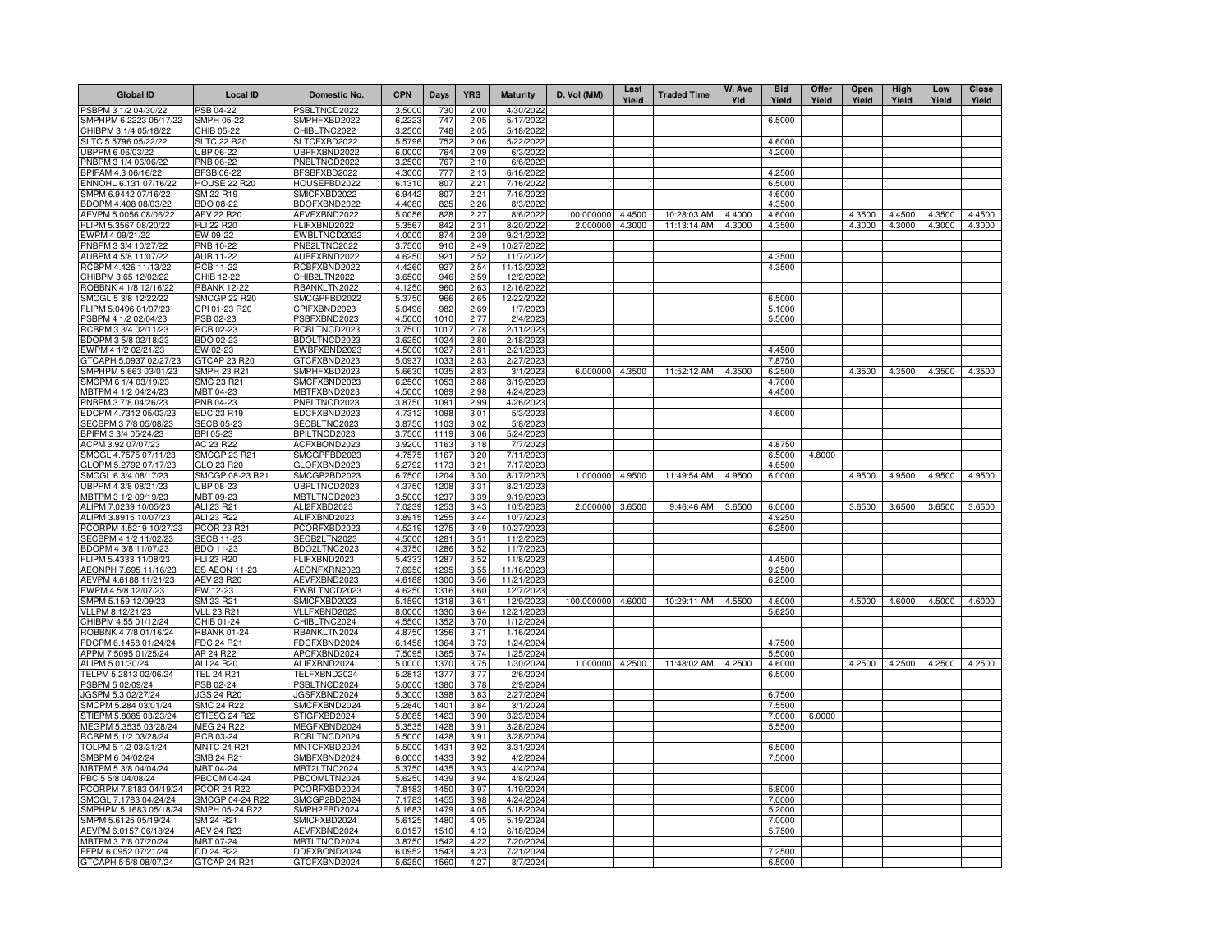| <b>Global ID</b>                                | <b>Local ID</b>                          | Domestic No.                        | <b>CPN</b>       | <b>Days</b>              | <b>YRS</b>   | <b>Maturity</b>          | D. Vol (MM)       | Last<br>Yield    | <b>Traded Time</b>         | W. Ave<br>Yld | <b>Bid</b><br>Yield | Offer<br>Yield | Open<br>Yield | High<br>Yield | Low<br>Yield     | <b>Close</b><br>Yield |
|-------------------------------------------------|------------------------------------------|-------------------------------------|------------------|--------------------------|--------------|--------------------------|-------------------|------------------|----------------------------|---------------|---------------------|----------------|---------------|---------------|------------------|-----------------------|
| PSBPM 3 1/2 04/30/22                            | PSB 04-22                                | PSBLTNCD2022                        | 3.5000           | 730                      | 2.00         | 4/30/202                 |                   |                  |                            |               |                     |                |               |               |                  |                       |
| SMPHPM 6.2223 05/17/22                          | <b>SMPH 05-22</b>                        | SMPHFXBD2022                        | 6.2223           | 747                      | 2.05         | 5/17/2022                |                   |                  |                            |               | 6.5000              |                |               |               |                  |                       |
| CHIBPM 3 1/4 05/18/22<br>SLTC 5.5796 05/22/22   | CHIB 05-22<br><b>SLTC 22 R20</b>         | CHIBLTNC2022<br>SLTCFXBD2022        | 3.2500<br>5.5796 | 748<br>752               | 2.05<br>2.06 | 5/18/2022<br>5/22/2022   |                   |                  |                            |               | 4.6000              |                |               |               |                  |                       |
| UBPPM 6 06/03/22                                | UBP 06-22                                | UBPFXBND2022                        | 6.0000           | 764                      | 2.09         | 6/3/2022                 |                   |                  |                            |               | 4.2000              |                |               |               |                  |                       |
| PNBPM 3 1/4 06/06/22                            | PNB 06-22                                | PNBLTNCD2022                        | 3.2500           | 767                      | 2.10         | 6/6/2022                 |                   |                  |                            |               |                     |                |               |               |                  |                       |
| BPIFAM 4.3 06/16/22                             | <b>BFSB 06-22</b>                        | BFSBFXBD2022                        | 4.3000           | 777                      | 2.13         | 6/16/2022                |                   |                  |                            |               | 4.2500              |                |               |               |                  |                       |
| ENNOHL 6.131 07/16/22                           | <b>HOUSE 22 R20</b>                      | HOUSEFBD2022                        | 6.1310           | 807                      | 2.21         | 7/16/2022                |                   |                  |                            |               | 6.5000              |                |               |               |                  |                       |
| SMPM 6.9442 07/16/22                            | SM 22 R19                                | SMICFXBD2022                        | 6.9442           | 807                      | 2.21         | 7/16/2022                |                   |                  |                            |               | 4.6000              |                |               |               |                  |                       |
| BDOPM 4.408 08/03/22                            | BDO 08-22                                | BDOFXBND2022                        | 4.4080           | 825                      | 2.26         | 8/3/2022                 | 100.000000        |                  |                            | 4.4000        | 4.3500              |                | 4.3500        | 4.4500        |                  | 4.4500                |
| AEVPM 5.0056 08/06/22<br>FLIPM 5.3567 08/20/22  | <b>AEV 22 R20</b><br>FLI 22 R20          | AEVFXBND2022<br>FLIFXBND2022        | 5.0056<br>5.3567 | 828<br>842               | 2.27<br>2.31 | 8/6/2022<br>8/20/2022    | 2.000000          | 4.4500<br>4.3000 | 10:28:03 AM<br>11:13:14 AM | 4.3000        | 4.6000<br>4.3500    |                | 4.3000        | 4.3000        | 4.3500<br>4.3000 | 4.3000                |
| EWPM 4 09/21/22                                 | EW 09-22                                 | EWBLTNCD2022                        | 4.0000           | 874                      | 2.39         | 9/21/2022                |                   |                  |                            |               |                     |                |               |               |                  |                       |
| PNBPM 3 3/4 10/27/22                            | PNB 10-22                                | PNB2LTNC2022                        | 3.7500           | 910                      | 2.49         | 10/27/2022               |                   |                  |                            |               |                     |                |               |               |                  |                       |
| AUBPM 4 5/8 11/07/22                            | AUB 11-22                                | AUBFXBND2022                        | 4.6250           | 921                      | 2.52         | 11/7/2022                |                   |                  |                            |               | 4.3500              |                |               |               |                  |                       |
| RCBPM 4.426 11/13/22                            | <b>RCB 11-22</b>                         | RCBFXBND2022                        | 4.4260           | 927                      | 2.54         | 11/13/2022               |                   |                  |                            |               | 4.3500              |                |               |               |                  |                       |
| CHIBPM 3.65 12/02/22                            | CHIB 12-22                               | CHIB2LTN2022                        | 3.6500           | 946                      | 2.59         | 12/2/2022                |                   |                  |                            |               |                     |                |               |               |                  |                       |
| ROBBNK 4 1/8 12/16/22<br>SMCGL 5 3/8 12/22/22   | RBANK 12-22<br>SMCGP 22 R20              | RBANKLTN2022<br>SMCGPFBD2022        | 4.1250<br>5.3750 | 960<br>966               | 2.63<br>2.65 | 12/16/2022<br>12/22/2022 |                   |                  |                            |               | 6.5000              |                |               |               |                  |                       |
| LIPM 5.0496 01/07/23                            | CPI 01-23 R20                            | CPIFXBND2023                        | 5.0496           | 982                      | 2.69         | 1/7/2023                 |                   |                  |                            |               | 5.1000              |                |               |               |                  |                       |
| PSBPM 4 1/2 02/04/23                            | PSB 02-23                                | PSBFXBND2023                        | 4.5000           | 1010                     | 2.77         | 2/4/2023                 |                   |                  |                            |               | 5.5000              |                |               |               |                  |                       |
| RCBPM 3 3/4 02/11/23                            | RCB 02-23                                | RCBLTNCD2023                        | 3.7500           | 1017                     | 2.78         | 2/11/2023                |                   |                  |                            |               |                     |                |               |               |                  |                       |
| BDOPM 3 5/8 02/18/23                            | BDO 02-23                                | BDOLTNCD2023                        | 3.6250           | 1024                     | 2.80         | 2/18/2023                |                   |                  |                            |               |                     |                |               |               |                  |                       |
| EWPM 4 1/2 02/21/23                             | EW 02-23                                 | EWBFXBND2023                        | 4.5000           | 1027                     | 2.81         | 2/21/2023                |                   |                  |                            |               | 4.4500              |                |               |               |                  |                       |
| 3TCAPH 5.0937 02/27/23                          | GTCAP 23 R20                             | GTCFXBND2023                        | 5.0937           | 1033                     | 2.83         | 2/27/2023                |                   |                  |                            |               | 7.8750              |                |               |               |                  |                       |
| SMPHPM 5.663 03/01/23                           | SMPH 23 R21<br>SMC 23 R21                | SMPHFXBD2023                        | 5.6630           | 1035                     | 2.83         | 3/1/2023                 | 6.000000 4.3500   |                  | 11:52:12 AM                | 4.3500        | 6.2500<br>4.7000    |                | 4.3500        | 4.3500        | 4.3500           | 4.3500                |
| SMCPM 6 1/4 03/19/23<br>MBTPM 4 1/2 04/24/23    | MBT 04-23                                | SMCFXBND2023<br>MBTFXBND2023        | 6.2500<br>4.5000 | 1053<br>1089             | 2.88<br>2.98 | 3/19/2023<br>4/24/2023   |                   |                  |                            |               | 4.4500              |                |               |               |                  |                       |
| PNBPM 3 7/8 04/26/23                            | PNB 04-23                                | PNBLTNCD2023                        | 3.8750           | 1091                     | 2.99         | 4/26/2023                |                   |                  |                            |               |                     |                |               |               |                  |                       |
| EDCPM 4.7312 05/03/23                           | EDC 23 R19                               | EDCFXBND2023                        | 4.7312           | 1098                     | 3.01         | 5/3/2023                 |                   |                  |                            |               | 4.6000              |                |               |               |                  |                       |
| SECBPM 3 7/8 05/08/23                           | <b>SECB 05-23</b>                        | SECBLTNC2023                        | 3.8750           | 1103                     | 3.02         | 5/8/2023                 |                   |                  |                            |               |                     |                |               |               |                  |                       |
| BPIPM 3 3/4 05/24/23                            | BPI 05-23                                | BPILTNCD2023                        | 3.7500           | 1119                     | 3.06         | 5/24/2023                |                   |                  |                            |               |                     |                |               |               |                  |                       |
| ACPM 3.92 07/07/23                              | AC 23 R22                                | ACFXBOND2023                        | 3.9200           | 1163                     | 3.18         | 7/7/2023                 |                   |                  |                            |               | 4.8750              |                |               |               |                  |                       |
| SMCGL 4.7575 07/11/23                           | <b>SMCGP 23 R21</b>                      | SMCGPFBD2023                        | 4.7575           | 1167                     | 3.20         | 7/11/2023                |                   |                  |                            |               | 6.5000              | 4.8000         |               |               |                  |                       |
| GLOPM 5.2792 07/17/23<br>SMCGL 6 3/4 08/17/23   | GLO 23 R20<br>SMCGP 08-23 R21            | GLOFXBND2023<br>SMCGP2BD2023        | 5.2792<br>6.7500 | 1173<br>1204             | 3.21<br>3.30 | 7/17/2023<br>8/17/2023   | 1.000000 4.9500   |                  | 11:49:54 AM                | 4.9500        | 4.6500<br>6.0000    |                | 4.9500        | 4.9500        | 4.9500           | 4.9500                |
| UBPPM 4 3/8 08/21/23                            | UBP 08-23                                | UBPLTNCD2023                        | 4.3750           | 1208                     | 3.31         | 8/21/2023                |                   |                  |                            |               |                     |                |               |               |                  |                       |
| MBTPM 3 1/2 09/19/23                            | MBT 09-23                                | MBTLTNCD2023                        | 3.5000           | 1237                     | 3.39         | 9/19/2023                |                   |                  |                            |               |                     |                |               |               |                  |                       |
| ALIPM 7.0239 10/05/23                           | ALI 23 R21                               | ALI2FXBD2023                        | 7.0239           | 1253                     | 3.43         | 10/5/2023                | 2.000000          | 3.6500           | 9:46:46 AM                 | 3.6500        | 6.0000              |                | 3.6500        | 3.6500        | 3.6500           | 3.6500                |
| ALIPM 3.8915 10/07/23                           | ALI 23 R22                               | ALIFXBND2023                        | 3.8915           | 1255                     | 3.44         | 10/7/2023                |                   |                  |                            |               | 4.9250              |                |               |               |                  |                       |
| PCORPM 4.5219 10/27/23                          | PCOR 23 R21                              | PCORFXBD2023                        | 4.5219           | 1275                     | 3.49         | 10/27/2023               |                   |                  |                            |               | 6.2500              |                |               |               |                  |                       |
| SECBPM 4 1/2 11/02/23                           | <b>SECB 11-23</b>                        | SECB2LTN2023                        | 4.5000           | 1281                     | 3.51         | 11/2/2023<br>11/7/2023   |                   |                  |                            |               |                     |                |               |               |                  |                       |
| BDOPM 4 3/8 11/07/23<br>-LIPM 5.4333 11/08/23   | BDO 11-23<br>FLI 23 R20                  | BDO2LTNC2023<br>FLIFXBND2023        | 4.3750<br>5.4333 | 1286<br>1287             | 3.52<br>3.52 | 11/8/2023                |                   |                  |                            |               | 4.4500              |                |               |               |                  |                       |
| AEONPH 7.695 11/16/23                           | <b>ES AEON 11-23</b>                     | AEONFXRN2023                        | 7.6950           | 1295                     | 3.55         | 11/16/2023               |                   |                  |                            |               | 9.2500              |                |               |               |                  |                       |
| AEVPM 4.6188 11/21/23                           | AEV 23 R20                               | AEVFXBND2023                        | 4.6188           | 1300                     | 3.56         | 11/21/2023               |                   |                  |                            |               | 6.2500              |                |               |               |                  |                       |
| EWPM 4 5/8 12/07/23                             | EW 12-23                                 | EWBLTNCD2023                        | 4.6250           | 1316                     | 3.60         | 12/7/2023                |                   |                  |                            |               |                     |                |               |               |                  |                       |
| SMPM 5.159 12/09/23                             | SM 23 R21                                | SMICFXBD2023                        | 5.1590           | 1318                     | 3.61         | 12/9/2023                | 100.000000 4.6000 |                  | 10:29:11 AM                | 4.5500        | 4.6000              |                | 4.5000        | 4.6000        | 4.5000           | 4.6000                |
| VLLPM 8 12/21/23                                | <b>VLL 23 R21</b>                        | VLLFXBND2023                        | 8.0000           | 1330                     | 3.64         | 12/21/2023               |                   |                  |                            |               | 5.6250              |                |               |               |                  |                       |
| CHIBPM 4.55 01/12/24<br>ROBBNK 4 7/8 01/16/24   | CHIB 01-24<br><b>RBANK 01-24</b>         | CHIBLTNC2024<br>RBANKLTN2024        | 4.5500<br>4.8750 | 1352<br>1356             | 3.70<br>3.71 | 1/12/2024<br>1/16/2024   |                   |                  |                            |               |                     |                |               |               |                  |                       |
| DCPM 6.1458 01/24/24                            | <b>FDC 24 R21</b>                        | FDCFXBND2024                        | 6.1458           | 1364                     | 3.73         | 1/24/2024                |                   |                  |                            |               | 4.7500              |                |               |               |                  |                       |
| APPM 7.5095 01/25/24                            | AP 24 R22                                | APCFXBND2024                        | 7.5095           | 1365                     | 3.74         | 1/25/2024                |                   |                  |                            |               | 5.5000              |                |               |               |                  |                       |
| ALIPM 5 01/30/24                                | ALI 24 R20                               | ALIFXBND2024                        | 5.0000           | 1370                     | 3.75         | 1/30/2024                | 1.000000          | 4.2500           | 11:48:02 AM                | 4.2500        | 4.6000              |                | 4.2500        | 4.2500        | 4.2500           | 4.2500                |
| TELPM 5.2813 02/06/24                           | <b>TEL 24 R21</b>                        | TELFXBND2024                        | 5.2813           | 1377                     | 3.77         | 2/6/2024                 |                   |                  |                            |               | 6.5000              |                |               |               |                  |                       |
| PSBPM 5 02/09/24                                | PSB 02-24                                | PSBLTNCD2024                        | 5.0000           | 1380                     | 3.78         | 2/9/2024                 |                   |                  |                            |               |                     |                |               |               |                  |                       |
| GSPM 5.3 02/27/24<br>SMCPM 5.284 03/01/24       | <b>JGS 24 R20</b><br><b>SMC 24 R22</b>   | <b>JGSFXBND2024</b><br>SMCFXBND2024 | 5.3000<br>5.2840 | 1398<br>140 <sup>°</sup> | 3.83<br>3.84 | 2/27/2024<br>3/1/2024    |                   |                  |                            |               | 6.7500<br>7.5500    |                |               |               |                  |                       |
| STIEPM 5.8085 03/23/24                          | STIESG 24 R22                            | STIGFXBD2024                        | 5.808            | 1423                     | 3.90         | 3/23/2024                |                   |                  |                            |               | 7.0000              | 6.0000         |               |               |                  |                       |
| MEGPM 5.3535 03/28/24                           | <b>MEG 24 R22</b>                        | MEGFXBND2024                        | 5.3535           | 1428                     | 3.91         | 3/28/2024                |                   |                  |                            |               | 5.5500              |                |               |               |                  |                       |
| RCBPM 5 1/2 03/28/24                            | RCB 03-24                                | RCBLTNCD2024                        | 5.5000           | 1428                     | 3.91         | 3/28/2024                |                   |                  |                            |               |                     |                |               |               |                  |                       |
| TOLPM 5 1/2 03/31/24                            | <b>MNTC 24 R21</b>                       | MNTCFXBD2024                        | 5.5000           | 143                      | 3.92         | 3/31/2024                |                   |                  |                            |               | 6.5000              |                |               |               |                  |                       |
| SMBPM 6 04/02/24                                | SMB 24 R21                               | SMBFXBND2024                        | 6.0000           | 143                      | 3.92         | 4/2/2024                 |                   |                  |                            |               | 7.5000              |                |               |               |                  |                       |
| ABTPM 5 3/8 04/04/24                            | MBT 04-24                                | MBT2LTNC2024                        | 5.3750           | 1435                     | 3.93         | 4/4/2024                 |                   |                  |                            |               |                     |                |               |               |                  |                       |
| BC 5 5/8 04/08/24                               | <b>PBCOM 04-24</b><br><b>PCOR 24 R22</b> | PBCOMLTN2024<br>PCORFXBD2024        | 5.6250<br>7.8183 | 1439                     | 3.94         | 4/8/2024<br>4/19/2024    |                   |                  |                            |               |                     |                |               |               |                  |                       |
| PCORPM 7.8183 04/19/24<br>SMCGL 7.1783 04/24/24 | SMCGP 04-24 R22                          | SMCGP2BD2024                        | 7.1783           | 1450<br>1455             | 3.97<br>3.98 | 4/24/2024                |                   |                  |                            |               | 5.8000<br>7.0000    |                |               |               |                  |                       |
| SMPHPM 5.1683 05/18/24                          | SMPH 05-24 R22                           | SMPH2FBD2024                        | 5.1683           | 1479                     | 4.05         | 5/18/2024                |                   |                  |                            |               | 5.2000              |                |               |               |                  |                       |
| SMPM 5.6125 05/19/24                            | SM 24 R21                                | SMICFXBD2024                        | 5.6125           | 1480                     | 4.05         | 5/19/2024                |                   |                  |                            |               | 7.0000              |                |               |               |                  |                       |
| AEVPM 6.0157 06/18/24                           | <b>AEV 24 R23</b>                        | AEVFXBND2024                        | 6.0157           | 1510                     | 4.13         | 6/18/2024                |                   |                  |                            |               | 5.7500              |                |               |               |                  |                       |
| ABTPM 3 7/8 07/20/24                            | MBT 07-24                                | MBTLTNCD2024                        | 3.8750           | 1542                     | 4.22         | 7/20/2024                |                   |                  |                            |               |                     |                |               |               |                  |                       |
| FPM 6.0952 07/21/24                             | DD 24 R22                                | DDFXBOND2024                        | 6.0952           | 1543                     | 4.23         | 7/21/2024                |                   |                  |                            |               | 7.2500              |                |               |               |                  |                       |
| GTCAPH 5 5/8 08/07/24                           | GTCAP 24 R21                             | GTCFXBND2024                        | 5.6250           | 1560                     | 4.27         | 8/7/2024                 |                   |                  |                            |               | 6.5000              |                |               |               |                  |                       |